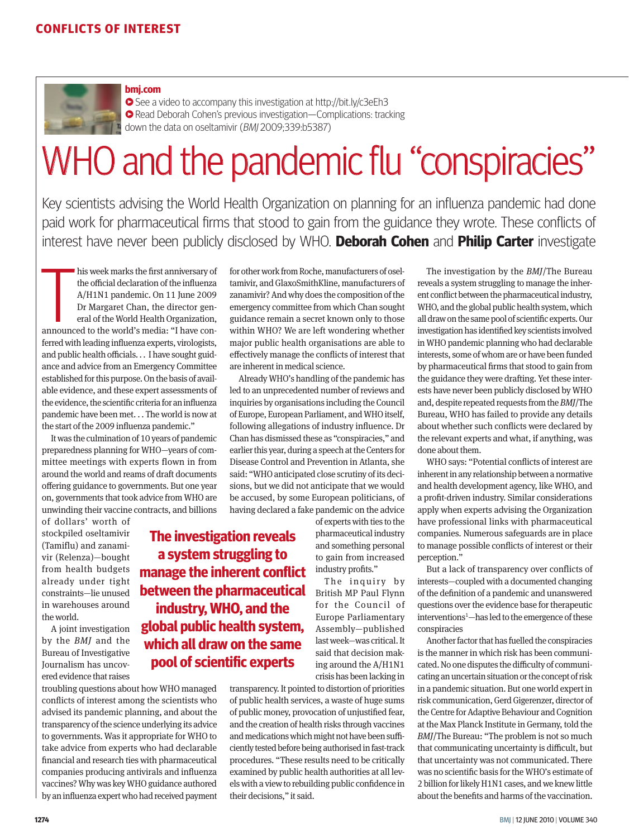

#### **bmj.com**

See a video to accompany this investigation at http://bit.ly/c3eEh3 **• Read Deborah Cohen's previous investigation—Complications: tracking** down the data on oseltamivir (BMJ 2009;339:b5387)

# WHO and the pandemic flu "conspiracies"

Key scientists advising the World Health Organization on planning for an influenza pandemic had done paid work for pharmaceutical firms that stood to gain from the guidance they wrote. These conflicts of interest have never been publicly disclosed by WHO. **Deborah Cohen** and **Philip Carter** investigate

his week marks the first anniversary of<br>the official declaration of the influenza<br>A/H1N1 pandemic. On 11 June 2009<br>Dr Margaret Chan, the director gen-<br>eral of the World Health Organization,<br>announced to the world's media: his week marks the first anniversary of the official declaration of the influenza A/H1N1 pandemic. On 11 June 2009 Dr Margaret Chan, the director general of the World Health Organization, ferred with leading influenza experts, virologists, and public health officials. . . I have sought guidance and advice from an Emergency Committee established for this purpose. On the basis of available evidence, and these expert assessments of the evidence, the scientific criteria for an influenza pandemic have been met. . . The world is now at the start of the 2009 influenza pandemic."

It was the culmination of 10 years of pandemic preparedness planning for WHO—years of committee meetings with experts flown in from around the world and reams of draft documents offering guidance to governments. But one year on, governments that took advice from WHO are unwinding their vaccine contracts, and billions

> **The investigation reveals a system struggling to manage the inherent conflict between the pharmaceutical industry, WHO, and the global public health system, which all draw on the same pool of scientific experts**

of dollars' worth of stockpiled oseltamivir (Tamiflu) and zanamivir (Relenza)—bought from health budgets already under tight constraints—lie unused in warehouses around the world.

A joint investigation by the *BMJ* and the Bureau of Investigative Journalism has uncovered evidence that raises

troubling questions about how WHO managed conflicts of interest among the scientists who advised its pandemic planning, and about the transparency of the science underlying its advice to governments. Was it appropriate for WHO to take advice from experts who had declarable financial and research ties with pharmaceutical companies producing antivirals and influenza vaccines? Why was key WHO guidance authored by an influenza expert who had received payment

for other work from Roche, manufacturers of oseltamivir, and GlaxoSmithKline, manufacturers of zanamivir? And why does the composition of the emergency committee from which Chan sought guidance remain a secret known only to those within WHO? We are left wondering whether major public health organisations are able to effectively manage the conflicts of interest that are inherent in medical science.

Already WHO's handling of the pandemic has led to an unprecedented number of reviews and inquiries by organisations including the Council of Europe, European Parliament, and WHO itself, following allegations of industry influence. Dr Chan has dismissed these as "conspiracies," and earlier this year, during a speech at the Centers for Disease Control and Prevention in Atlanta, she said: "WHO anticipated close scrutiny of its decisions, but we did not anticipate that we would be accused, by some European politicians, of having declared a fake pandemic on the advice

of experts with ties to the pharmaceutical industry and something personal to gain from increased industry profits."

The inquiry by British MP Paul Flynn for the Council of Europe Parliamentary Assembly—published last week—was critical. It said that decision making around the A/H1N1 crisis has been lacking in

transparency. It pointed to distortion of priorities of public health services, a waste of huge sums of public money, provocation of unjustified fear, and the creation of health risks through vaccines and medications which might not have been sufficiently tested before being authorised in fast-track procedures. "These results need to be critically examined by public health authorities at all levels with a view to rebuilding public confidence in their decisions," it said.

The investigation by the *BMJ*/The Bureau reveals a system struggling to manage the inherent conflict between the pharmaceutical industry, WHO, and the global public health system, which all draw on the same pool of scientific experts. Our investigation has identified key scientists involved in WHO pandemic planning who had declarable interests, some of whom are or have been funded by pharmaceutical firms that stood to gain from the guidance they were drafting. Yet these interests have never been publicly disclosed by WHO and, despite repeated requests from the *BMJ*/The Bureau, WHO has failed to provide any details about whether such conflicts were declared by the relevant experts and what, if anything, was done about them.

WHO says: "Potential conflicts of interest are inherent in any relationship between a normative and health development agency, like WHO, and a profit-driven industry. Similar considerations apply when experts advising the Organization have professional links with pharmaceutical companies. Numerous safeguards are in place to manage possible conflicts of interest or their perception."

But a lack of transparency over conflicts of interests—coupled with a documented changing of the definition of a pandemic and unanswered questions over the evidence base for therapeutic interventions<sup>1</sup>—has led to the emergence of these conspiracies

Another factor that has fuelled the conspiracies is the manner in which risk has been communicated. No one disputes the difficulty of communicating an uncertain situation or the concept of risk in a pandemic situation. But one world expert in risk communication, Gerd Gigerenzer, director of the Centre for Adaptive Behaviour and Cognition at the Max Planck Institute in Germany, told the *BMJ*/The Bureau: "The problem is not so much that communicating uncertainty is difficult, but that uncertainty was not communicated. There was no scientific basis for the WHO's estimate of 2 billion for likely H1N1 cases, and we knew little about the benefits and harms of the vaccination.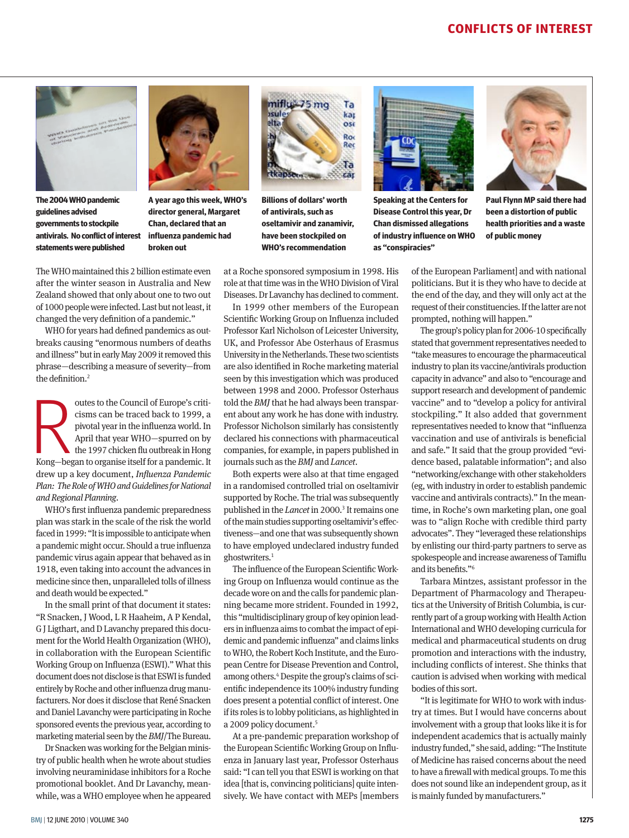## **Conflicts of Interest**



**The 2004 WHO pandemic guidelines advised governments to stockpile antivirals. No conflict of interest statements were published**



**A year ago this week, WHO's director general, Margaret Chan, declared that an influenza pandemic had broken out**



**Billions of dollars' worth of antivirals, such as oseltamivir and zanamivir, have been stockpiled on WHO's recommendation**

at a Roche sponsored symposium in 1998. His role at that time was in the WHO Division of Viral Diseases. Dr Lavanchy has declined to comment.

In 1999 other members of the European Scientific Working Group on Influenza included Professor Karl Nicholson of Leicester University, UK, and Professor Abe Osterhaus of Erasmus University in the Netherlands. These two scientists are also identified in Roche marketing material seen by this investigation which was produced between 1998 and 2000. Professor Osterhaus told the *BMJ* that he had always been transparent about any work he has done with industry. Professor Nicholson similarly has consistently declared his connections with pharmaceutical companies, for example, in papers published in journals such as the *BMJ* and *Lancet*.

Both experts were also at that time engaged in a randomised controlled trial on oseltamivir supported by Roche. The trial was subsequently published in the *Lancet* in 2000.<sup>3</sup> It remains one of the main studies supporting oseltamivir's effectiveness—and one that was subsequently shown to have employed undeclared industry funded ghostwriters.<sup>1</sup>

The influence of the European Scientific Working Group on Influenza would continue as the decade wore on and the calls for pandemic planning became more strident. Founded in 1992, this "multidisciplinary group of key opinion leaders in influenza aims to combat the impact of epidemic and pandemic influenza" and claims links to WHO, the Robert Koch Institute, and the European Centre for Disease Prevention and Control, among others.4 Despite the group's claims of scientific independence its 100% industry funding does present a potential conflict of interest. One if its roles is to lobby politicians, as highlighted in a 2009 policy document.<sup>5</sup>

At a pre-pandemic preparation workshop of the European Scientific Working Group on Influenza in January last year, Professor Osterhaus said: "I can tell you that ESWI is working on that idea [that is, convincing politicians] quite intensively. We have contact with MEPs [members



**Speaking at the Centers for Disease Control this year, Dr Chan dismissed allegations of industry influence on WHO as "conspiracies"**



**Paul Flynn MP said there had been a distortion of public health priorities and a waste of public money** 

of the European Parliament] and with national politicians. But it is they who have to decide at the end of the day, and they will only act at the request of their constituencies. If the latter are not prompted, nothing will happen."

The group's policy plan for 2006-10 specifically stated that government representatives needed to "take measures to encourage the pharmaceutical industry to plan its vaccine/antivirals production capacity in advance" and also to "encourage and support research and development of pandemic vaccine" and to "develop a policy for antiviral stockpiling." It also added that government representatives needed to know that "influenza vaccination and use of antivirals is beneficial and safe." It said that the group provided "evidence based, palatable information"; and also "networking/exchange with other stakeholders (eg, with industry in order to establish pandemic vaccine and antivirals contracts)." In the meantime, in Roche's own marketing plan, one goal was to "align Roche with credible third party advocates". They "leveraged these relationships by enlisting our third-party partners to serve as spokespeople and increase awareness of Tamiflu and its benefits."6

Tarbara Mintzes, assistant professor in the Department of Pharmacology and Therapeutics at the University of British Columbia, is currently part of a group working with Health Action International and WHO developing curricula for medical and pharmaceutical students on drug promotion and interactions with the industry, including conflicts of interest. She thinks that caution is advised when working with medical bodies of this sort.

"It is legitimate for WHO to work with industry at times. But I would have concerns about involvement with a group that looks like it is for independent academics that is actually mainly industry funded," she said, adding: "The Institute of Medicine has raised concerns about the need to have a firewall with medical groups. To me this does not sound like an independent group, as it is mainly funded by manufacturers."

The WHO maintained this 2 billion estimate even after the winter season in Australia and New Zealand showed that only about one to two out of 1000 people were infected. Last but not least, it changed the very definition of a pandemic."

WHO for years had defined pandemics as outbreaks causing "enormous numbers of deaths and illness" but in early May 2009 it removed this phrase—describing a measure of severity—from the definition.2

outes to the Council of Europe's criticisms can be traced back to 1999, a pivotal year in the influenza world. In April that year WHO—spurred on by the 1997 chicken flu outbreak in Hong Kong—began to organise itself for a outes to the Council of Europe's criticisms can be traced back to 1999, a pivotal year in the influenza world. In April that year WHO—spurred on by the 1997 chicken flu outbreak in Hong drew up a key document, *Influenza Pandemic Plan: The Role of WHO and Guidelines for National and Regional Planning*.

WHO's first influenza pandemic preparedness plan was stark in the scale of the risk the world faced in 1999: "It is impossible to anticipate when a pandemic might occur. Should a true influenza pandemic virus again appear that behaved as in 1918, even taking into account the advances in medicine since then, unparalleled tolls of illness and death would be expected."

In the small print of that document it states: "R Snacken, J Wood, L R Haaheim, A P Kendal, G J Ligthart, and D Lavanchy prepared this document for the World Health Organization (WHO), in collaboration with the European Scientific Working Group on Influenza (ESWI)." What this document does not disclose is that ESWI is funded entirely by Roche and other influenza drug manufacturers. Nor does it disclose that René Snacken and Daniel Lavanchy were participating in Roche sponsored events the previous year, according to marketing material seen by the *BMJ*/The Bureau.

Dr Snacken was working for the Belgian ministry of public health when he wrote about studies involving neuraminidase inhibitors for a Roche promotional booklet. And Dr Lavanchy, meanwhile, was a WHO employee when he appeared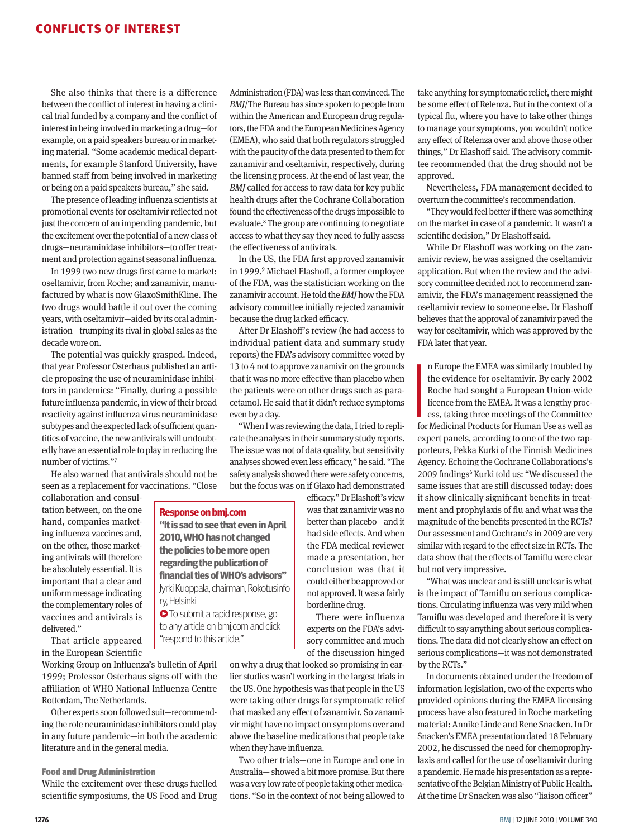She also thinks that there is a difference between the conflict of interest in having a clinical trial funded by a company and the conflict of interest in being involved in marketing a drug—for example, on a paid speakers bureau or in marketing material. "Some academic medical departments, for example Stanford University, have banned staff from being involved in marketing or being on a paid speakers bureau," she said.

The presence of leading influenza scientists at promotional events for oseltamivir reflected not just the concern of an impending pandemic, but the excitement over the potential of a new class of drugs—neuraminidase inhibitors—to offer treatment and protection against seasonal influenza.

In 1999 two new drugs first came to market: oseltamivir, from Roche; and zanamivir, manufactured by what is now GlaxoSmithKline. The two drugs would battle it out over the coming years, with oseltamivir—aided by its oral administration—trumping its rival in global sales as the decade wore on.

The potential was quickly grasped. Indeed, that year Professor Osterhaus published an article proposing the use of neuraminidase inhibitors in pandemics: "Finally, during a possible future influenza pandemic, in view of their broad reactivity against influenza virus neuraminidase subtypes and the expected lack of sufficient quantities of vaccine, the new antivirals will undoubtedly have an essential role to play in reducing the number of victims."7

He also warned that antivirals should not be seen as a replacement for vaccinations. "Close

**Response on bmj.com**

ry, Helsinki

**"It is sad to see that even in April 2010, WHO has not changed the policies to be more open regarding the publication of financial ties of WHO's advisors"**  Jyrki Kuoppala, chairman, Rokotusinfo

**• To submit a rapid response, go** to any article on bmj.com and click

"respond to this article."

collaboration and consultation between, on the one hand, companies marketing influenza vaccines and, on the other, those marketing antivirals will therefore be absolutely essential. It is important that a clear and uniform message indicating the complementary roles of vaccines and antivirals is delivered."

That article appeared in the European Scientific

Working Group on Influenza's bulletin of April 1999; Professor Osterhaus signs off with the affiliation of WHO National Influenza Centre Rotterdam, The Netherlands.

Other experts soon followed suit—recommending the role neuraminidase inhibitors could play in any future pandemic—in both the academic literature and in the general media.

#### Food and Drug Administration

While the excitement over these drugs fuelled scientific symposiums, the US Food and Drug Administration (FDA) was less than convinced. The *BMJ*/The Bureau has since spoken to people from within the American and European drug regulators, the FDA and the European Medicines Agency (EMEA), who said that both regulators struggled with the paucity of the data presented to them for zanamivir and oseltamivir, respectively, during the licensing process. At the end of last year, the *BMJ* called for access to raw data for key public health drugs after the Cochrane Collaboration found the effectiveness of the drugs impossible to evaluate.<sup>8</sup> The group are continuing to negotiate access to what they say they need to fully assess the effectiveness of antivirals.

In the US, the FDA first approved zanamivir in 1999.9 Michael Elashoff, a former employee of the FDA, was the statistician working on the zanamivir account. He told the *BMJ* how the FDA advisory committee initially rejected zanamivir because the drug lacked efficacy.

After Dr Elashoff's review (he had access to individual patient data and summary study reports) the FDA's advisory committee voted by 13 to 4 not to approve zanamivir on the grounds that it was no more effective than placebo when the patients were on other drugs such as paracetamol. He said that it didn't reduce symptoms even by a day.

"When I was reviewing the data, I tried to replicate the analyses in their summary study reports. The issue was not of data quality, but sensitivity analyses showed even less efficacy," he said. "The safety analysis showed there were safety concerns, but the focus was on if Glaxo had demonstrated

> efficacy." Dr Elashoff's view was that zanamivir was no better than placebo—and it had side effects. And when the FDA medical reviewer made a presentation, her conclusion was that it could either be approved or not approved. It was a fairly

> experts on the FDA's advisory committee and much of the discussion hinged

on why a drug that looked so promising in earlier studies wasn't working in the largest trials in the US. One hypothesis was that people in the US were taking other drugs for symptomatic relief that masked any effect of zanamivir. So zanamivir might have no impact on symptoms over and above the baseline medications that people take when they have influenza.

Two other trials—one in Europe and one in Australia— showed a bit more promise. But there was a very low rate of people taking other medications. "So in the context of not being allowed to take anything for symptomatic relief, there might be some effect of Relenza. But in the context of a typical flu, where you have to take other things to manage your symptoms, you wouldn't notice any effect of Relenza over and above those other things," Dr Elashoff said. The advisory committee recommended that the drug should not be approved.

Nevertheless, FDA management decided to overturn the committee's recommendation.

"They would feel better if there was something on the market in case of a pandemic. It wasn't a scientific decision," Dr Elashoff said.

While Dr Elashoff was working on the zanamivir review, he was assigned the oseltamivir application. But when the review and the advisory committee decided not to recommend zanamivir, the FDA's management reassigned the oseltamivir review to someone else. Dr Elashoff believes that the approval of zanamivir paved the way for oseltamivir, which was approved by the FDA later that year.

**I**<br>Ifor n Europe the EMEA was similarly troubled by the evidence for oseltamivir. By early 2002 Roche had sought a European Union-wide licence from the EMEA. It was a lengthy process, taking three meetings of the Committee for Medicinal Products for Human Use as well as expert panels, according to one of the two rapporteurs, Pekka Kurki of the Finnish Medicines Agency. Echoing the Cochrane Collaborations's 2009 findings<sup>6</sup> Kurki told us: "We discussed the same issues that are still discussed today: does it show clinically significant benefits in treatment and prophylaxis of flu and what was the magnitude of the benefits presented in the RCTs? Our assessment and Cochrane's in 2009 are very similar with regard to the effect size in RCTs. The data show that the effects of Tamiflu were clear but not very impressive.

"What was unclear and is still unclear is what is the impact of Tamiflu on serious complications. Circulating influenza was very mild when Tamiflu was developed and therefore it is very difficult to say anything about serious complications. The data did not clearly show an effect on serious complications—it was not demonstrated by the RCTs."

In documents obtained under the freedom of information legislation, two of the experts who provided opinions during the EMEA licensing process have also featured in Roche marketing material: Annike Linde and Rene Snacken. In Dr Snacken's EMEA presentation dated 18 February 2002, he discussed the need for chemoprophylaxis and called for the use of oseltamivir during a pandemic. He made his presentation as a representative of the Belgian Ministry of Public Health. At the time Dr Snacken was also "liaison officer"

borderline drug.

There were influenza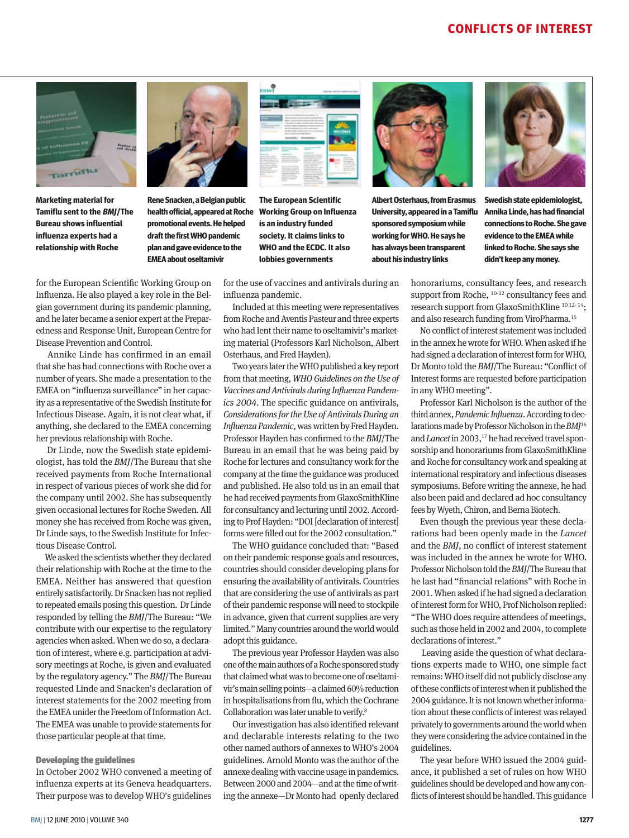

**Marketing material for Tamiflu sent to the BMJ/The Bureau shows influential influenza experts had a relationship with Roche** 



**Rene Snacken, a Belgian public health official, appeared at Roche promotional events. He helped draft the first WHO pandemic plan and gave evidence to the EMEA about oseltamivir**



**The European Scientific Working Group on Influenza is an industry funded society. It claims links to WHO and the ECDC. It also lobbies governments**



**Albert Osterhaus, from Erasmus University, appeared in a Tamiflu sponsored symposium while working for WHO. He says he has always been transparent about his industry links**



**Swedish state epidemiologist, Annika Linde, has had financial connections to Roche. She gave evidence to the EMEA while linked to Roche. She says she didn't keep any money.** 

for the European Scientific Working Group on Influenza. He also played a key role in the Belgian government during its pandemic planning, and he later became a senior expert at the Preparedness and Response Unit, European Centre for Disease Prevention and Control.

 Annike Linde has confirmed in an email that she has had connections with Roche over a number of years. She made a presentation to the EMEA on "influenza surveillance" in her capacity as a representative of the Swedish Institute for Infectious Disease. Again, it is not clear what, if anything, she declared to the EMEA concerning her previous relationship with Roche.

 Dr Linde, now the Swedish state epidemiologist, has told the *BMJ*/The Bureau that she received payments from Roche International in respect of various pieces of work she did for the company until 2002. She has subsequently given occasional lectures for Roche Sweden. All money she has received from Roche was given, Dr Linde says, to the Swedish Institute for Infectious Disease Control.

We asked the scientists whether they declared their relationship with Roche at the time to the EMEA. Neither has answered that question entirely satisfactorily. Dr Snacken has not replied to repeated emails posing this question. Dr Linde responded by telling the *BMJ*/The Bureau: "We contribute with our expertise to the regulatory agencies when asked. When we do so, a declaration of interest, where e.g. participation at advisory meetings at Roche, is given and evaluated by the regulatory agency." The *BMJ*/The Bureau requested Linde and Snacken's declaration of interest statements for the 2002 meeting from the EMEA unider the Freedom of Information Act. The EMEA was unable to provide statements for those particular people at that time.

#### Developing the guidelines

In October 2002 WHO convened a meeting of influenza experts at its Geneva headquarters. Their purpose was to develop WHO's guidelines

for the use of vaccines and antivirals during an influenza pandemic.

Included at this meeting were representatives from Roche and Aventis Pasteur and three experts who had lent their name to oseltamivir's marketing material (Professors Karl Nicholson, Albert Osterhaus, and Fred Hayden).

Two years later the WHO published a key report from that meeting, *WHO Guidelines on the Use of Vaccines and Antivirals during Influenza Pandemics 2004*. The specific guidance on antivirals, *Considerations for the Use of Antivirals During an Influenza Pandemic*, was written by Fred Hayden. Professor Hayden has confirmed to the *BMJ*/The Bureau in an email that he was being paid by Roche for lectures and consultancy work for the company at the time the guidance was produced and published. He also told us in an email that he had received payments from GlaxoSmithKline for consultancy and lecturing until 2002. According to Prof Hayden: "DOI [declaration of interest] forms were filled out for the 2002 consultation."

The WHO guidance concluded that: "Based on their pandemic response goals and resources, countries should consider developing plans for ensuring the availability of antivirals. Countries that are considering the use of antivirals as part of their pandemic response will need to stockpile in advance, given that current supplies are very limited." Many countries around the world would adopt this guidance.

The previous year Professor Hayden was also one of the main authors of a Roche sponsored study that claimed what was to become one of oseltamivir's main selling points—a claimed 60% reduction in hospitalisations from flu, which the Cochrane Collaboration was later unable to verify.8

Our investigation has also identified relevant and declarable interests relating to the two other named authors of annexes to WHO's 2004 guidelines. Arnold Monto was the author of the annexe dealing with vaccine usage in pandemics. Between 2000 and 2004—and at the time of writing the annexe—Dr Monto had openly declared honorariums, consultancy fees, and research support from Roche, <sup>10-12</sup> consultancy fees and research support from GlaxoSmithKline 10 12- 14; and also research funding from ViroPharma.15

No conflict of interest statement was included in the annex he wrote for WHO. When asked if he had signed a declaration of interest form for WHO, Dr Monto told the *BMJ*/The Bureau: "Conflict of Interest forms are requested before participation in any WHO meeting".

Professor Karl Nicholson is the author of the third annex, *Pandemic Influenza*. According to declarations made by Professor Nicholson in the *BMJ*<sup>16</sup> and *Lancet* in 2003,<sup>17</sup> he had received travel sponsorship and honorariums from GlaxoSmithKline and Roche for consultancy work and speaking at international respiratory and infectious diseases symposiums. Before writing the annexe, he had also been paid and declared ad hoc consultancy fees by Wyeth, Chiron, and Berna Biotech.

Even though the previous year these declarations had been openly made in the *Lancet* and the *BMJ*, no conflict of interest statement was included in the annex he wrote for WHO. Professor Nicholson told the *BMJ*/The Bureau that he last had "financial relations" with Roche in 2001. When asked if he had signed a declaration of interest form for WHO, Prof Nicholson replied: "The WHO does require attendees of meetings, such as those held in 2002 and 2004, to complete declarations of interest."

 Leaving aside the question of what declarations experts made to WHO, one simple fact remains: WHO itself did not publicly disclose any of these conflicts of interest when it published the 2004 guidance. It is not known whether information about these conflicts of interest was relayed privately to governments around the world when they were considering the advice contained in the guidelines.

The year before WHO issued the 2004 guidance, it published a set of rules on how WHO guidelines should be developed and how any conflicts of interest should be handled. This guidance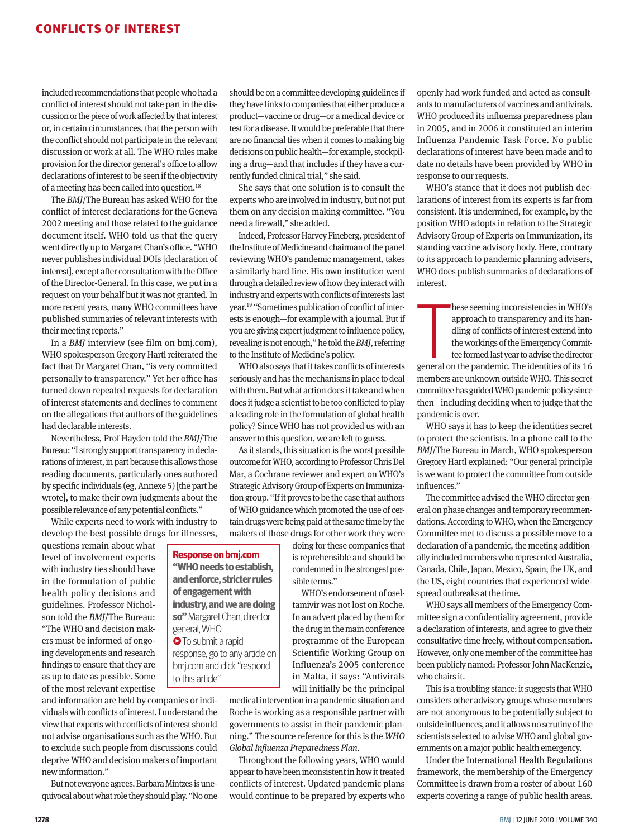included recommendations that people who had a conflict of interest should not take part in the discussion or the piece of work affected by that interest or, in certain circumstances, that the person with the conflict should not participate in the relevant discussion or work at all. The WHO rules make provision for the director general's office to allow declarations of interest to be seen if the objectivity of a meeting has been called into question.18

The *BMJ*/The Bureau has asked WHO for the conflict of interest declarations for the Geneva 2002 meeting and those related to the guidance document itself. WHO told us that the query went directly up to Margaret Chan's office. "WHO never publishes individual DOIs [declaration of interest], except after consultation with the Office of the Director-General. In this case, we put in a request on your behalf but it was not granted. In more recent years, many WHO committees have published summaries of relevant interests with their meeting reports."

In a *BMJ* interview (see film on bmj.com), WHO spokesperson Gregory Hartl reiterated the fact that Dr Margaret Chan, "is very committed personally to transparency." Yet her office has turned down repeated requests for declaration of interest statements and declines to comment on the allegations that authors of the guidelines had declarable interests.

Nevertheless, Prof Hayden told the *BMJ*/The Bureau: "I strongly support transparency in declarations of interest, in part because this allows those reading documents, particularly ones authored by specific individuals (eg, Annexe 5) [the part he wrote], to make their own judgments about the possible relevance of any potential conflicts."

While experts need to work with industry to develop the best possible drugs for illnesses,

> **Response on bmj.com "WHO needs to establish, and enforce, stricter rules of engagement with industry, and we are doing so"** Margaret Chan, director

> general, WHO **O** To submit a rapid response, go to any article on bmj.com and click "respond

to this article"

questions remain about what level of involvement experts with industry ties should have in the formulation of public health policy decisions and guidelines. Professor Nicholson told the *BMJ*/The Bureau: "The WHO and decision makers must be informed of ongoing developments and research findings to ensure that they are as up to date as possible. Some of the most relevant expertise

and information are held by companies or individuals with conflicts of interest. I understand the view that experts with conflicts of interest should not advise organisations such as the WHO. But to exclude such people from discussions could deprive WHO and decision makers of important new information."

But not everyone agrees. Barbara Mintzes is unequivocal about what role they should play. "No one should be on a committee developing guidelines if they have links to companies that either produce a product—vaccine or drug—or a medical device or test for a disease. It would be preferable that there are no financial ties when it comes to making big decisions on public health—for example, stockpiling a drug—and that includes if they have a currently funded clinical trial," she said.

She says that one solution is to consult the experts who are involved in industry, but not put them on any decision making committee. "You need a firewall," she added.

Indeed, Professor Harvey Fineberg, president of the Institute of Medicine and chairman of the panel reviewing WHO's pandemic management, takes a similarly hard line. His own institution went through a detailed review of how they interact with industry and experts with conflicts of interests last year.19 "Sometimes publication of conflict of interests is enough—for example with a journal. But if you are giving expert judgment to influence policy, revealing is not enough," he told the *BMJ*, referring to the Institute of Medicine's policy.

WHO also says that it takes conflicts of interests seriously and has the mechanisms in place to deal with them. But what action does it take and when does it judge a scientist to be too conflicted to play a leading role in the formulation of global health policy? Since WHO has not provided us with an answer to this question, we are left to guess.

As it stands, this situation is the worst possible outcome for WHO, according to Professor Chris Del Mar, a Cochrane reviewer and expert on WHO's Strategic Advisory Group of Experts on Immunization group. "If it proves to be the case that authors of WHO guidance which promoted the use of certain drugs were being paid at the same time by the makers of those drugs for other work they were

> doing for these companies that is reprehensible and should be condemned in the strongest possible terms."

WHO's endorsement of oseltamivir was not lost on Roche. In an advert placed by them for the drug in the main conference programme of the European Scientific Working Group on Influenza's 2005 conference in Malta, it says: "Antivirals will initially be the principal

medical intervention in a pandemic situation and Roche is working as a responsible partner with governments to assist in their pandemic planning." The source reference for this is the *WHO Global Influenza Preparedness Plan*.

Throughout the following years, WHO would appear to have been inconsistent in how it treated conflicts of interest. Updated pandemic plans would continue to be prepared by experts who openly had work funded and acted as consultants to manufacturers of vaccines and antivirals. WHO produced its influenza preparedness plan in 2005, and in 2006 it constituted an interim Influenza Pandemic Task Force. No public declarations of interest have been made and to date no details have been provided by WHO in response to our requests.

WHO's stance that it does not publish declarations of interest from its experts is far from consistent. It is undermined, for example, by the position WHO adopts in relation to the Strategic Advisory Group of Experts on Immunization, its standing vaccine advisory body. Here, contrary to its approach to pandemic planning advisers, WHO does publish summaries of declarations of interest.

hese seeming inconsistencies in WHO's<br>approach to transparency and its han-<br>dling of conflicts of interest extend into<br>the workings of the Emergency Commit-<br>tee formed last year to advise the director<br>general on the pandem hese seeming inconsistencies in WHO's approach to transparency and its handling of conflicts of interest extend into the workings of the Emergency Committee formed last year to advise the director

members are unknown outside WHO. This secret committee has guided WHO pandemic policy since then—including deciding when to judge that the pandemic is over.

WHO says it has to keep the identities secret to protect the scientists. In a phone call to the *BMJ*/The Bureau in March, WHO spokesperson Gregory Hartl explained: "Our general principle is we want to protect the committee from outside influences."

The committee advised the WHO director general on phase changes and temporary recommendations. According to WHO, when the Emergency Committee met to discuss a possible move to a declaration of a pandemic, the meeting additionally included members who represented Australia, Canada, Chile, Japan, Mexico, Spain, the UK, and the US, eight countries that experienced widespread outbreaks at the time.

WHO says all members of the Emergency Committee sign a confidentiality agreement, provide a declaration of interests, and agree to give their consultative time freely, without compensation. However, only one member of the committee has been publicly named: Professor John MacKenzie, who chairs it.

This is a troubling stance: it suggests that WHO considers other advisory groups whose members are not anonymous to be potentially subject to outside influences, and it allows no scrutiny of the scientists selected to advise WHO and global governments on a major public health emergency.

Under the International Health Regulations framework, the membership of the Emergency Committee is drawn from a roster of about 160 experts covering a range of public health areas.